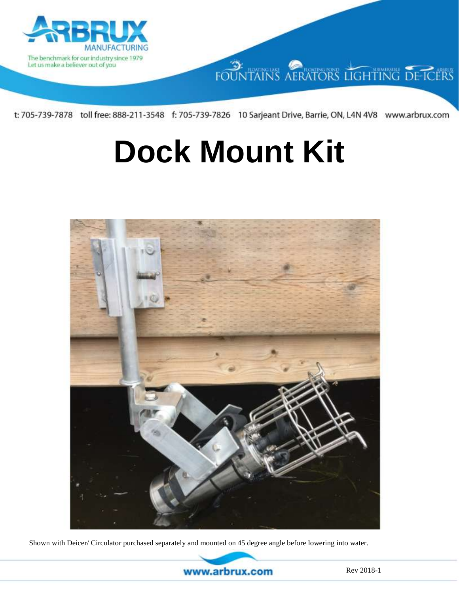

FOUNTAINS AERATORS LIGHTING DE-ICERS

t: 705-739-7878 toll free: 888-211-3548 f: 705-739-7826 10 Sarjeant Drive, Barrie, ON, L4N 4V8 www.arbrux.com

# **Dock Mount Kit**



Shown with Deicer/ Circulator purchased separately and mounted on 45 degree angle before lowering into water.

www.arbrux.com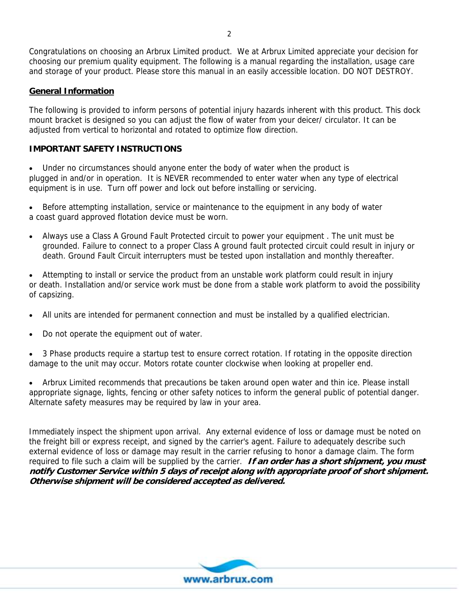Congratulations on choosing an Arbrux Limited product. We at Arbrux Limited appreciate your decision for choosing our premium quality equipment. The following is a manual regarding the installation, usage care and storage of your product. Please store this manual in an easily accessible location. DO NOT DESTROY.

### **General Information**

The following is provided to inform persons of potential injury hazards inherent with this product. This dock mount bracket is designed so you can adjust the flow of water from your deicer/ circulator. It can be adjusted from vertical to horizontal and rotated to optimize flow direction.

## **IMPORTANT SAFETY INSTRUCTIONS**

 Under no circumstances should anyone enter the body of water when the product is plugged in and/or in operation. It is NEVER recommended to enter water when any type of electrical equipment is in use. Turn off power and lock out before installing or servicing.

 Before attempting installation, service or maintenance to the equipment in any body of water a coast guard approved flotation device must be worn.

 Always use a Class A Ground Fault Protected circuit to power your equipment . The unit must be grounded. Failure to connect to a proper Class A ground fault protected circuit could result in injury or death. Ground Fault Circuit interrupters must be tested upon installation and monthly thereafter.

 Attempting to install or service the product from an unstable work platform could result in injury or death. Installation and/or service work must be done from a stable work platform to avoid the possibility of capsizing.

- All units are intended for permanent connection and must be installed by a qualified electrician.
- Do not operate the equipment out of water.

 3 Phase products require a startup test to ensure correct rotation. If rotating in the opposite direction damage to the unit may occur. Motors rotate counter clockwise when looking at propeller end.

 Arbrux Limited recommends that precautions be taken around open water and thin ice. Please install appropriate signage, lights, fencing or other safety notices to inform the general public of potential danger. Alternate safety measures may be required by law in your area.

Immediately inspect the shipment upon arrival. Any external evidence of loss or damage must be noted on the freight bill or express receipt, and signed by the carrier's agent. Failure to adequately describe such external evidence of loss or damage may result in the carrier refusing to honor a damage claim. The form required to file such a claim will be supplied by the carrier. **If an order has a short shipment, you must notify Customer Service within 5 days of receipt along with appropriate proof of short shipment. Otherwise shipment will be considered accepted as delivered.** 



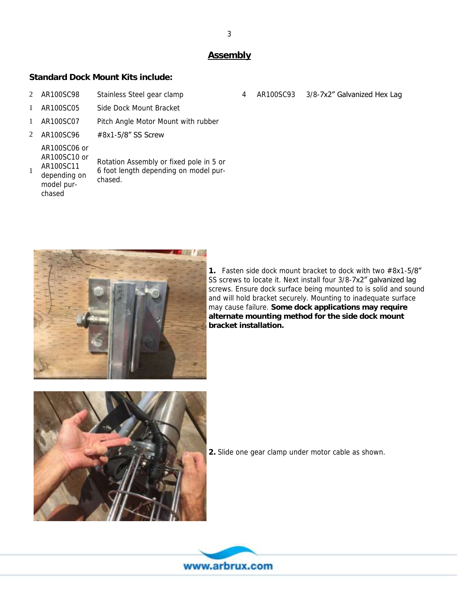## **Assembly**

## **Standard Dock Mount Kits include:**

- 2 AR100SC98 Stainless Steel gear clamp 4 AR100SC93 3/8-7x2" Galvanized Hex Lag
- 1 AR100SC05 Side Dock Mount Bracket
- 1 AR100SC07 Pitch Angle Motor Mount with rubber
- 2 AR100SC96 #8x1-5/8" SS Screw

AR100SC06 or AR100SC10 or AR100SC11 depending on 1

> model purchased

Rotation Assembly or fixed pole in 5 or 6 foot length depending on model purchased.



**1.** Fasten side dock mount bracket to dock with two #8x1-5/8" SS screws to locate it. Next install four 3/8-7x2" galvanized lag screws. Ensure dock surface being mounted to is solid and sound and will hold bracket securely. Mounting to inadequate surface may cause failure. **Some dock applications may require alternate mounting method for the side dock mount bracket installation.**



**2.** Slide one gear clamp under motor cable as shown.



3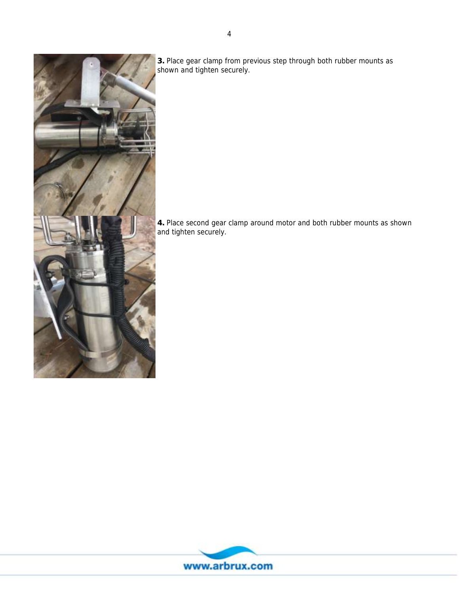

**3.** Place gear clamp from previous step through both rubber mounts as shown and tighten securely.

**4.** Place second gear clamp around motor and both rubber mounts as shown and tighten securely.

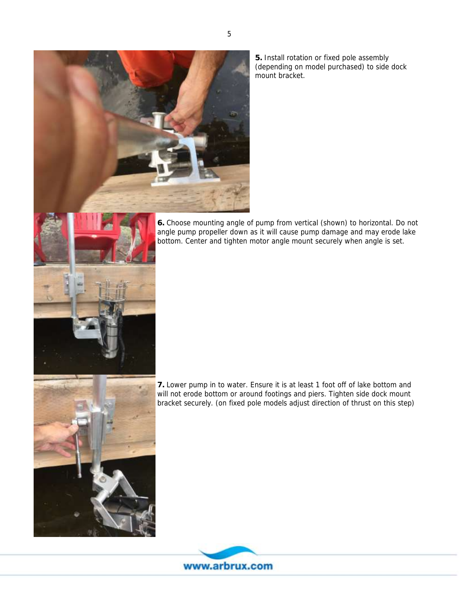

**5.** Install rotation or fixed pole assembly (depending on model purchased) to side dock mount bracket.

**6.** Choose mounting angle of pump from vertical (shown) to horizontal. Do not angle pump propeller down as it will cause pump damage and may erode lake bottom. Center and tighten motor angle mount securely when angle is set.



**7.** Lower pump in to water. Ensure it is at least 1 foot off of lake bottom and will not erode bottom or around footings and piers. Tighten side dock mount bracket securely. (on fixed pole models adjust direction of thrust on this step)

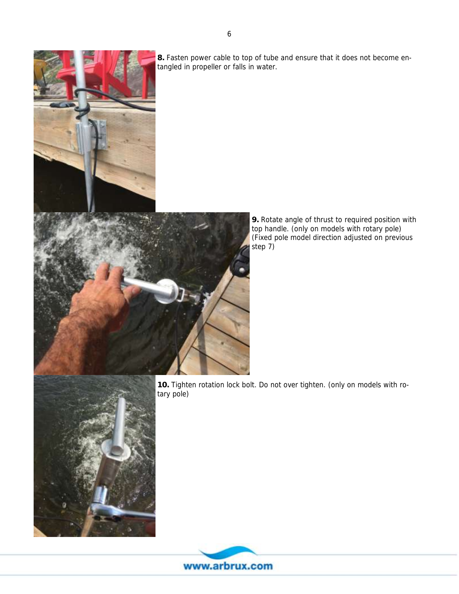

**8.** Fasten power cable to top of tube and ensure that it does not become entangled in propeller or falls in water.



**9.** Rotate angle of thrust to required position with top handle. (only on models with rotary pole) (Fixed pole model direction adjusted on previous step 7)

**10.** Tighten rotation lock bolt. Do not over tighten. (only on models with rotary pole)



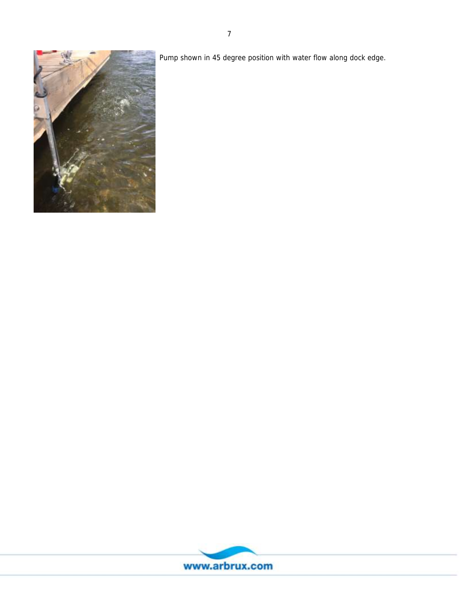

Pump shown in 45 degree position with water flow along dock edge.

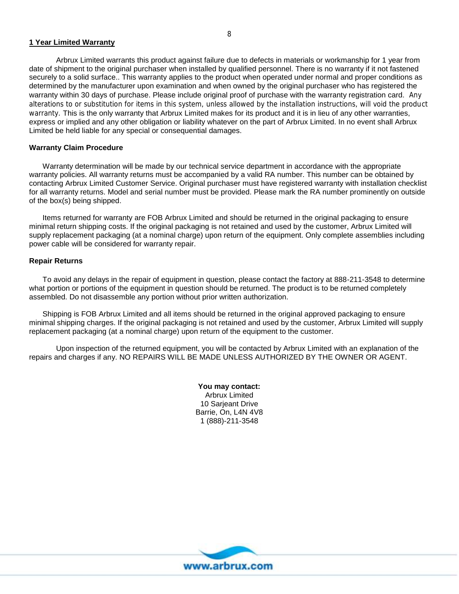#### **1 Year Limited Warranty**

Arbrux Limited warrants this product against failure due to defects in materials or workmanship for 1 year from date of shipment to the original purchaser when installed by qualified personnel. There is no warranty if it not fastened securely to a solid surface.. This warranty applies to the product when operated under normal and proper conditions as determined by the manufacturer upon examination and when owned by the original purchaser who has registered the warranty within 30 days of purchase. Please include original proof of purchase with the warranty registration card. Any alterations to or substitution for items in this system, unless allowed by the installation instructions, will void the product warranty. This is the only warranty that Arbrux Limited makes for its product and it is in lieu of any other warranties, express or implied and any other obligation or liability whatever on the part of Arbrux Limited. In no event shall Arbrux Limited be held liable for any special or consequential damages.

#### **Warranty Claim Procedure**

Warranty determination will be made by our technical service department in accordance with the appropriate warranty policies. All warranty returns must be accompanied by a valid RA number. This number can be obtained by contacting Arbrux Limited Customer Service. Original purchaser must have registered warranty with installation checklist for all warranty returns. Model and serial number must be provided. Please mark the RA number prominently on outside of the box(s) being shipped.

Items returned for warranty are FOB Arbrux Limited and should be returned in the original packaging to ensure minimal return shipping costs. If the original packaging is not retained and used by the customer, Arbrux Limited will supply replacement packaging (at a nominal charge) upon return of the equipment. Only complete assemblies including power cable will be considered for warranty repair.

#### **Repair Returns**

To avoid any delays in the repair of equipment in question, please contact the factory at 888-211-3548 to determine what portion or portions of the equipment in question should be returned. The product is to be returned completely assembled. Do not disassemble any portion without prior written authorization.

Shipping is FOB Arbrux Limited and all items should be returned in the original approved packaging to ensure minimal shipping charges. If the original packaging is not retained and used by the customer, Arbrux Limited will supply replacement packaging (at a nominal charge) upon return of the equipment to the customer.

Upon inspection of the returned equipment, you will be contacted by Arbrux Limited with an explanation of the repairs and charges if any. NO REPAIRS WILL BE MADE UNLESS AUTHORIZED BY THE OWNER OR AGENT.

> **You may contact:** Arbrux Limited 10 Sarjeant Drive Barrie, On, L4N 4V8 1 (888)-211-3548